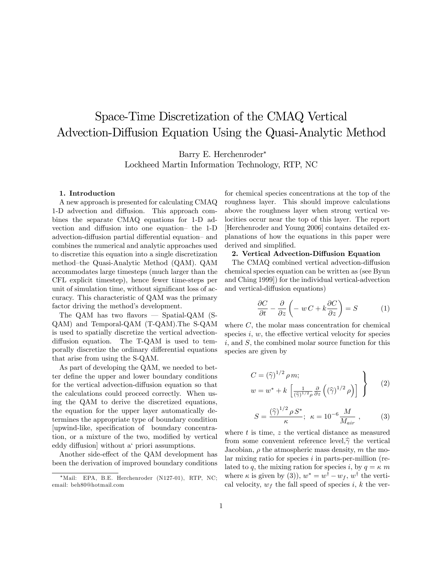# Space-Time Discretization of the CMAQ Vertical Advection-Diffusion Equation Using the Quasi-Analytic Method

Barry E. Herchenroder\*

Lockheed Martin Information Technology, RTP, NC

#### 1. Introduction

A new approach is presented for calculating CMAQ 1-D advection and diffusion. This approach combines the separate CMAQ equations for 1-D advection and diffusion into one equation- the 1-D advection-diffusion partial differential equation- and combines the numerical and analytic approaches used to discretize this equation into a single discretization method-the Quasi-Analytic Method (QAM). QAM accommodates large timesteps (much larger than the CFL explicit timestep), hence fewer time-steps per unit of simulation time, without significant loss of accuracy. This characteristic of QAM was the primary factor driving the method's development.

The QAM has two flavors  $-$  Spatial-QAM (S-QAM) and Temporal-QAM (T-QAM). The S-QAM is used to spatially discretize the vertical advectiondiffusion equation. The T-QAM is used to temporally discretize the ordinary differential equations that arise from using the S-QAM.

As part of developing the QAM, we needed to better define the upper and lower boundary conditions for the vertical advection-diffusion equation so that the calculations could proceed correctly. When using the QAM to derive the discretized equations, the equation for the upper layer automatically determines the appropriate type of boundary condition upwind-like, specification of boundary concentration, or a mixture of the two, modified by vertical eddy diffusion without a' priori assumptions.

Another side-effect of the QAM development has been the derivation of improved boundary conditions for chemical species concentrations at the top of the roughness layer. This should improve calculations above the roughness layer when strong vertical velocities occur near the top of this layer. The report [Herchenroder and Young 2006] contains detailed explanations of how the equations in this paper were derived and simplified.

## 2. Vertical Advection-Diffusion Equation

The CMAQ combined vertical advection-diffusion chemical species equation can be written as (see Byun and Ching 1999) for the individual vertical-advection and vertical-diffusion equations)

$$
\frac{\partial C}{\partial t} - \frac{\partial}{\partial z} \left( -w C + k \frac{\partial C}{\partial z} \right) = S \tag{1}
$$

where  $C$ , the molar mass concentration for chemical species  $i, w$ , the effective vertical velocity for species  $i$ , and  $S$ , the combined molar source function for this species are given by

$$
C = (\widehat{\gamma})^{1/2} \rho m; \nw = w^* + k \left[ \frac{1}{(\widehat{\gamma})^{1/2} \rho} \frac{\partial}{\partial z} \left( (\widehat{\gamma})^{1/2} \rho \right) \right]
$$
\n(2)

$$
S = \frac{(\hat{\gamma})^{1/2} \rho S^*}{\kappa}; \ \ \kappa = 10^{-6} \frac{M}{M_{air}} \ , \tag{3}
$$

where  $t$  is time,  $z$  the vertical distance as measured from some convenient reference level,  $\hat{\gamma}$  the vertical Jacobian,  $\rho$  the atmospheric mass density, m the molar mixing ratio for species  $i$  in parts-per-million (related to q, the mixing ration for species i, by  $q = \kappa$  m where  $\kappa$  is given by (3)),  $w^* = w^{\dagger} - w_f$ ,  $w^{\dagger}$  the vertical velocity,  $w_f$  the fall speed of species i, k the ver-

<sup>\*</sup>Mail: EPA, B.E. Herchenroder (N127-01), RTP, NC; email: beh80@hotmail.com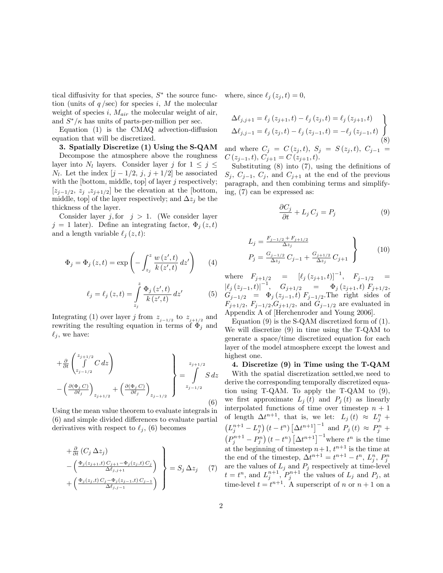tical diffusivity for that species,  $S^*$  the source function (units of  $q$ /sec) for species i, M the molecular weight of species i,  $M_{air}$  the molecular weight of air, and  $S^*/\kappa$  has units of parts-per-million per sec.

Equation  $(1)$  is the CMAQ advection-diffusion equation that will be discretized.

3. Spatially Discretize (1) Using the S-QAM Decompose the atmosphere above the roughness layer into  $N_l$  layers. Consider layer j for  $1 \leq j \leq$  $N_l$ . Let the index  $[j - 1/2, j, j + 1/2]$  be associated with the [bottom, middle, top] of layer  $j$  respectively;  $[z_{j-1/2}, z_j, z_{j+1/2}]$  be the elevation at the [bottom, middle, top] of the layer respectively; and  $\Delta z_j$  be the thickness of the layer.

Consider layer j, for  $j > 1$ . (We consider layer  $j = 1$  later). Define an integrating factor,  $\Phi_i(z, t)$ and a length variable  $\ell_j (z, t)$ :

$$
\Phi_j = \Phi_j(z, t) = \exp\left(-\int_{z_j}^z \frac{w(z', t)}{k(z', t)} dz'\right) \qquad (4)
$$

$$
\ell_j = \ell_j(z, t) = \int\limits_{z_j}^{z} \frac{\Phi_j(z', t)}{k(z', t)} dz'
$$
 (5)

Integrating (1) over layer j from  $z_{j-1/2}$  to  $z_{j+1/2}$  and rewriting the resulting equation in terms of  $\Phi_i$  and  $\ell_i$ , we have:

$$
+\frac{\partial}{\partial t}\begin{pmatrix} z_{j+1/2} \\ \int & C \, dz \\ z_{j-1/2} \end{pmatrix}
$$
  
 
$$
-\left(\frac{\partial(\Phi_j C)}{\partial \ell_j}\right)_{z_{j+1/2}} + \left(\frac{\partial(\Phi_j C)}{\partial \ell_j}\right)_{z_{j-1/2}}\right\} = \int_{z_{j-1/2}}^{z_{j+1/2}} S \, dz
$$
  
(6)

Using the mean value theorem to evaluate integrals in (6) and simple divided differences to evaluate partial derivatives with respect to  $\ell_i$ , (6) becomes

$$
\begin{aligned}\n&\left. + \frac{\partial}{\partial t} \left( C_j \Delta z_j \right) \right. \\
&\left. - \left( \frac{\Phi_j(z_{j+1},t) C_{j+1} - \Phi_j(z_j,t) C_j}{\Delta \ell_{j,j+1}} \right) \right\} = S_j \Delta z_j \quad (7) \\
&\left. + \left( \frac{\Phi_j(z_j,t) C_j - \Phi_j(z_{j-1},t) C_{j-1}}{\Delta \ell_{j,j-1}} \right) \right\}\n\end{aligned}
$$

where, since  $\ell_j (z_j, t) = 0$ ,

$$
\Delta \ell_{j,j+1} = \ell_j (z_{j+1}, t) - \ell_j (z_j, t) = \ell_j (z_{j+1}, t)
$$
\n
$$
\Delta \ell_{j,j-1} = \ell_j (z_j, t) - \ell_j (z_{j-1}, t) = -\ell_j (z_{j-1}, t)
$$
\nand where  $C_j = C(z_j, t), S_j = S(z_j, t), C_{j-1} = C(z_{j-1}, t), C_{j+1} = C(z_{j+1}, t).$  (8)

Substituting  $(8)$  into  $(7)$ , using the definitions of  $S_i, C_{i-1}, C_i,$  and  $C_{i+1}$  at the end of the previous paragraph, and then combining terms and simplifying, (7) can be expressed as:

$$
\frac{\partial C_j}{\partial t} + L_j C_j = P_j \tag{9}
$$

$$
L_j = \frac{F_{j-1/2} + F_{j+1/2}}{\Delta z_j} P_j = \frac{G_{j-1/2}}{\Delta z_j} C_{j-1} + \frac{G_{j+1/2}}{\Delta z_j} C_{j+1}
$$
\n(10)

where  $F_{j+1/2} = [l_j (z_{j+1}, t)]^{-1}$ ,  $F_{j-1/2} =$  $\left|\ell_j\left(z_{j-1}, t\right)\right|^{-1}, \quad G_{j+1/2} = \Phi_j\left(z_{j+1}, t\right) F_{j+1/2},$  $G_{j-1/2} = \Phi_j (z_{j-1}, t) F_{j-1/2}$ . The right sides of  $F_{j+1/2}, F_{j-1/2}, G_{j+1/2},$  and  $G_{j-1/2}$  are evaluated in Appendix A of [Herchenroder and Young 2006].

Equation (9) is the S-QAM discretized form of (1). We will discretize (9) in time using the T-QAM to generate a space/time discretized equation for each layer of the model atmosphere except the lowest and highest one.

4. Discretize (9) in Time using the T-QAM With the spatial discretization settled,we need to derive the corresponding temporally discretized equation using T-QAM. To apply the T-QAM to (9), we first approximate  $L_j(t)$  and  $P_j(t)$  as linearly interpolated functions of time over timestep  $n + 1$ of length  $\Delta t^{n+1}$ , that is, we let:  $L_j(t) \approx L_j^n +$  $(L_j^{n+1} - L_j^n) (t - t^n) [\Delta t^{n+1}]^{-1}$  and  $P_j (t) \approx P_j^n +$  $(P_j^{n+1} - P_j^n) (t - t^n) \left[\Delta t^{n+1}\right]^{-1}$  where  $t^n$  is the time at the beginning of timestep  $n+1$ ,  $t^{n+1}$  is the time at the end of the timestep,  $\Delta t^{n+1} = t^{n+1} - t^n$ ,  $L_j^n$ ,  $P_j^n$ are the values of  $L_j$  and  $P_j$  respectively at time-level  $t = t<sup>n</sup>$ , and  $L_j^{n+1}$ ,  $P_j^{n+1}$  the values of  $L_j$  and  $P_j$ , at time-level  $t = t^{n+1}$ . A superscript of n or  $n + 1$  on a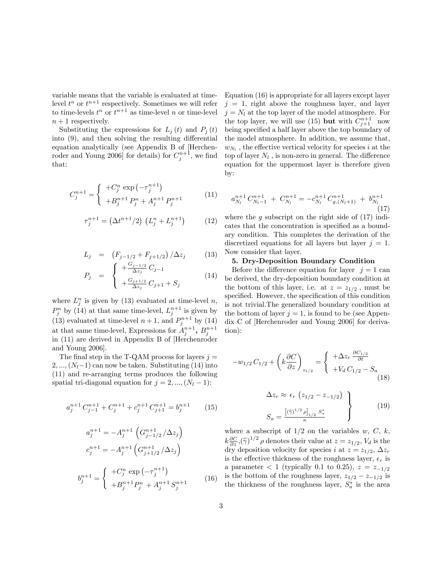variable means that the variable is evaluated at timelevel  $t^n$  or  $t^{n+1}$  respectively. Sometimes we will refer to time-levels  $t^n$  or  $t^{n+1}$  as time-level n or time-level  $n + 1$  respectively.

Substituting the expressions for  $L_j(t)$  and  $P_j(t)$ into  $(9)$ , and then solving the resulting differential equation analytically (see Appendix B of [Herchenroder and Young 2006] for details) for  $C_j^{n+1}$ , we find that:

$$
C_j^{n+1} = \begin{cases} +C_j^n \exp\left(-\tau_j^{n+1}\right) \\ +B_j^{n+1} P_j^n + A_j^{n+1} P_j^{n+1} \end{cases} \tag{11}
$$

$$
\tau_j^{n+1} = \left(\Delta t^{n+1}/2\right) \left(L_j^n + L_j^{n+1}\right) \tag{12}
$$

$$
L_j = (F_{j-1/2} + F_{j+1/2}) / \Delta z_j
$$
 (13)

$$
P_j = \begin{cases} +\frac{G_{j-1/2}}{\Delta z_j} C_{j-1} \\ +\frac{G_{j+1/2}}{\Delta z_j} C_{j+1} + S_j \end{cases}
$$
(14)

where  $L_j^n$  is given by (13) evaluated at time-level n,  $P_j^n$  by (14) at that same time-level,  $L_j^{n+1}$  is given by (13) evaluated at time-level  $n+1$ , and  $P_j^{n+1}$  by (14) at that same time-level, Expressions for  $A_j^{n+1}$ ,  $B_j^{n+1}$ in (11) are derived in Appendix B of [Herchenroder and Young 2006].

The final step in the T-QAM process for layers  $j =$  $2, ..., (N_l-1)$  can now be taken. Substituting (14) into (11) and re-arranging terms produces the following spatial tri-diagonal equation for  $j = 2, ..., (N_l - 1)$ :

$$
a_j^{n+1} C_{j-1}^{n+1} + C_j^{n+1} + c_j^{n+1} C_{j+1}^{n+1} = b_j^{n+1}
$$
 (15)  

$$
a_j^{n+1} = -A_j^{n+1} \left( G_{j-1/2}^{n+1} / \Delta z_j \right)
$$
  

$$
c_j^{n+1} = -A_j^{n+1} \left( G_{j+1/2}^{n+1} / \Delta z_j \right)
$$

$$
b_j^{n+1} = \begin{cases} +C_j^n \exp\left(-\tau_j^{n+1}\right) \\ +B_j^{n+1}P_j^n + A_j^{n+1}S_j^{n+1} \end{cases} \tag{16}
$$

Equation (16) is appropriate for all layers except layer  $j = 1$ , right above the roughness layer, and layer  $j = N_l$  at the top layer of the model atmosphere. For the top layer, we will use (15) but with  $C_{j+1}^{n+1}$  now being specified a half layer above the top boundary of the model atmosphere. In addition, we assume that,  $w_{N_l}$ , the effective vertical velocity for species i at the top of layer  $N_l$  , is non-zero in general. The difference equation for the uppermost layer is therefore given by:

$$
a_{N_l}^{n+1} C_{N_l-1}^{n+1} + C_{N_l}^{n+1} = -c_{N_l}^{n+1} C_{g,(N_l+1)}^{n+1} + b_{N_l}^{n+1}
$$
\n(17)

where the g subscript on the right side of  $(17)$  indicates that the concentration is specified as a boundary condition. This completes the derivation of the discretized equations for all layers but layer  $j = 1$ . Now consider that layer.

### 5. Dry-Deposition Boundary Condition

Before the difference equation for layer  $j = 1$  can be derived, the dry-deposition boundary condition at the bottom of this layer, i.e. at  $z = z_{1/2}$ , must be specified. However, the specification of this condition is not trivial.The generalized boundary condition at the bottom of layer  $j = 1$ , is found to be (see Appendix C of [Herchenroder and Young 2006] for derivation):

$$
-w_{1/2} C_{1/2} + \left(k \frac{\partial C}{\partial z}\right)_{z_{1/2}} = \begin{cases} +\Delta z_r \frac{\partial C_{1/2}}{\partial t} \\ +V_d C_{1/2} - S_a \end{cases}
$$
(18)

$$
\Delta z_r \approx \epsilon_r \left( z_{1/2} - z_{-1/2} \right)
$$
\n
$$
S_a = \frac{\left[ (\widehat{\gamma})^{1/2} \rho \right]_{1/2} S_a^*}{\kappa} \qquad (19)
$$

where a subscript of  $1/2$  on the variables w, C, k,  $k \frac{\partial C}{\partial z}$ ,  $(\widehat{\gamma})^{1/2} \rho$  denotes their value at  $z = z_{1/2}$ ,  $V_d$  is the dry deposition velocity for species i at  $z = z_{1/2}, \Delta z_r$ is the effective thickness of the roughness layer,  $\epsilon_r$  is a parameter  $< 1$  (typically 0.1 to 0.25),  $z = z_{-1/2}$ is the bottom of the roughness layer,  $z_{1/2}-z_{-1/2}$  is the thickness of the roughness layer,  $S_a^*$  is the area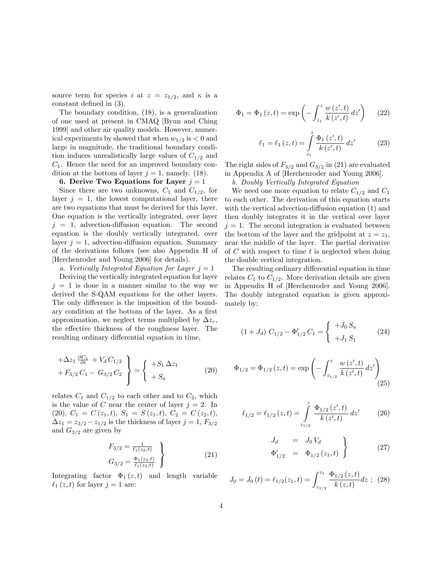source term for species i at  $z = z_{1/2}$ , and  $\kappa$  is a constant defined in  $(3)$ .

The boundary condition, (18), is a generalization of one used at present in CMAQ [Byun and Ching 1999] and other air quality models. However, numerical experiments by showed that when  $w_{1/2}$  is  $< 0$  and large in magnitude, the traditional boundary condition induces unrealistically large values of  $C_{1/2}$  and  $C_1$ . Hence the need for an improved boundary condition at the bottom of layer  $j = 1$ , namely. (18).

#### 6. Derive Two Equations for Layer  $j = 1$

Since there are two unknowns,  $C_1$  and  $C_{1/2}$ , for layer  $j = 1$ , the lowest computational layer, there are two equations that must be derived for this layer. One equation is the vertically integrated, over layer  $j = 1$ , advection-diffusion equation. The second equation is the doubly vertically integrated, over layer  $j = 1$ , advection-diffusion equation. Summary of the derivations follows (see also Appendix H of [Herchenroder and Young 2006] for details).

a. Vertically Integrated Equation for Layer  $j = 1$ 

Deriving the vertically integrated equation for layer  $j = 1$  is done in a manner similar to the way we derived the S-QAM equations for the other layers. The only difference is the imposition of the boundary condition at the bottom of the layer. As a first approximation, we neglect terms multiplied by  $\Delta z_r$ , the effective thickness of the roughness layer. The resulting ordinary differential equation in time,

$$
+\Delta z_1 \frac{\partial C_1}{\partial t} + V_d C_{1/2} + F_{3/2} C_1 - G_{3/2} C_2 \} = \begin{cases} +S_1 \Delta z_1 \\ +S_a \end{cases}
$$
 (20)

relates  $C_1$  and  $C_{1/2}$  to each other and to  $C_2$ , which is the value of C near the center of layer  $j = 2$ . In (20),  $C_1 = C(z_1, t), S_1 = S(z_1, t), C_2 = C(z_2, t),$  $\Delta z_1 = z_{3/2} - z_{1/2}$  is the thickness of layer  $j = 1, F_{3/2}$ and  $G_{3/2}$  are given by

$$
F_{3/2} = \frac{1}{\ell_1(z_2, t)}
$$
  
\n
$$
G_{3/2} = \frac{\Phi_1(z_2, t)}{\ell_1(z_2, t)}
$$
\n(21)

Integrating factor  $\Phi_1(z,t)$  and length variable  $\ell_1 (z, t)$  for layer  $j = 1$  are:

$$
\Phi_1 = \Phi_1(z, t) = \exp\left(-\int_{z_1}^z \frac{w(z', t)}{k(z', t)} dz'\right) \quad (22)
$$

$$
\ell_1 = \ell_1(z, t) = \int_{z_1}^{z} \frac{\Phi_1(z', t)}{k(z', t)} dz'
$$
 (23)

The right sides of  $F_{3/2}$  and  $G_{3/2}$  in (21) are evaluated in Appendix A of [Herchenroder and Young 2006].

b. Doubly Vertically Integrated Equation

We need one more equation to relate  $C_{1/2}$  and  $C_1$ to each other. The derivation of this equation starts with the vertical advection-diffusion equation  $(1)$  and then doubly integrates it in the vertical over layer  $j = 1$ . The second integration is evaluated between the bottom of the layer and the gridpoint at  $z = z_1$ , near the middle of the layer. The partial derivative of  $C$  with respect to time  $t$  is neglected when doing the double vertical integration.

The resulting ordinary differential equation in time relates  $C_1$  to  $C_{1/2}$ . More derivation details are given in Appendix H of [Herchenroder and Young 2006]. The doubly integrated equation is given approximately by:

$$
(1+J_d) C_{1/2} - \Phi'_{1/2} C_1 = \begin{cases} +J_0 S_a \\ +J_1 S_1 \end{cases}
$$
 (24)

$$
\Phi_{1/2} = \Phi_{1/2}(z, t) = \exp\left(-\int_{z_{1/2}}^{z} \frac{w(z', t)}{k(z', t)} dz'\right)
$$
\n(25)

$$
\ell_{1/2} = \ell_{1/2} (z, t) = \int_{z_{1/2}}^{z} \frac{\Phi_{1/2} (z', t)}{k (z', t)} dz' \qquad (26)
$$

$$
J_d = J_0 V_d
$$
  
\n
$$
\Phi'_{1/2} = \Phi_{1/2}(z_1, t)
$$
\n(27)

$$
J_0 = J_0(t) = \ell_{1/2}(z_1, t) = \int_{z_{1/2}}^{z_1} \frac{\Phi_{1/2}(z, t)}{k(z, t)} dz \ ; \ (28)
$$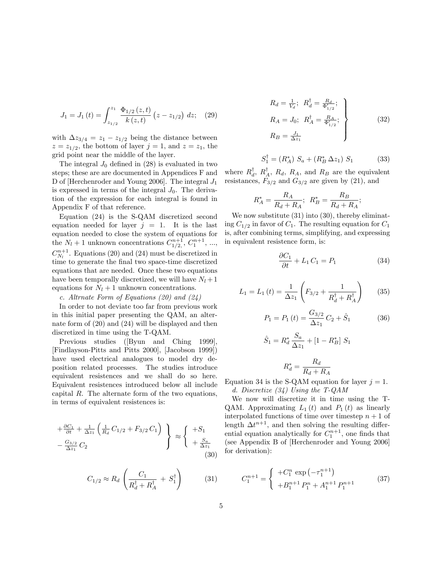$$
J_1 = J_1(t) = \int_{z_{1/2}}^{z_1} \frac{\Phi_{1/2}(z,t)}{k(z,t)} (z - z_{1/2}) dz; \quad (29)
$$

with  $\Delta z_{3/4} = z_1 - z_{1/2}$  being the distance between  $z = z_{1/2}$ , the bottom of layer  $j = 1$ , and  $z = z_1$ , the grid point near the middle of the layer.

The integral  $J_0$  defined in (28) is evaluated in two steps; these are are documented in Appendices F and D of [Herchenroder and Young 2006]. The integral  $J_1$ is expressed in terms of the integral  $J_0$ . The derivation of the expression for each integral is found in Appendix F of that reference.

Equation (24) is the S-QAM discretized second equation needed for layer  $j = 1$ . It is the last equation needed to close the system of equations for the  $N_l + 1$  unknown concentrations  $C_{1/2,}^{n+1}, C_1^{n+1}, \ldots$ ,  $C_{N_l}^{n+1}$ . Equations (20) and (24) must be discretized in time to generate the final two space-time discretized equations that are needed. Once these two equations have been temporally discretized, we will have  $N_l + 1$ equations for  $N_l + 1$  unknown concentrations.

## c. Altrnate Form of Equations (20) and (24)

In order to not deviate too far from previous work in this initial paper presenting the QAM, an alternate form of (20) and (24) will be displayed and then discretized in time using the T-QAM.

Previous studies ([Byun and Ching 1999], [Findlayson-Pitts and Pitts 2000], [Jacobson 1999]) have used electrical analogues to model dry deposition related processes. The studies introduce equivalent resistences and we shall do so here. Equivalent resistences introduced below all include capital  $R$ . The alternate form of the two equations, in terms of equivalent resistences is:

$$
+\frac{\partial C_1}{\partial t} + \frac{1}{\Delta z_1} \left( \frac{1}{R_d} C_{1/2} + F_{3/2} C_1 \right) \Bigg\} \approx \begin{cases} +S_1 \\ +\frac{S_a}{\Delta z_1} \\ +\frac{S_a}{\Delta z_1} \end{cases} (30)
$$

$$
C_{1/2} \approx R_d \left( \frac{C_1}{R_d^{\dagger} + R_A^{\dagger}} + S_1^{\dagger} \right) \tag{31}
$$

$$
R_d = \frac{1}{V_d}; \quad R_d^{\dagger} = \frac{R_d}{\Phi'_{1/2}}; R_A = J_0; \quad R_A^{\dagger} = \frac{R_A}{\Phi'_{1/2}}; R_B = \frac{J_1}{\Delta z_1}
$$
 (32)

$$
S_1^{\dagger} = (R_A^*) S_a + (R_B^* \Delta z_1) S_1 \tag{33}
$$

where  $R_d^{\dagger}$ ,  $R_A^{\dagger}$ ,  $R_d$ ,  $R_A$ , and  $R_B$  are the equivalent resistances,  $F_{3/2}$  and  $G_{3/2}$  are given by (21), and

$$
R_A^* = \frac{R_A}{R_d + R_A}; \ \ R_B^* = \frac{R_B}{R_d + R_A};
$$

We now substitute  $(31)$  into  $(30)$ , thereby eliminating  $C_{1/2}$  in favor of  $C_1$ . The resulting equation for  $C_1$ is, after combining terms, simplifying, and expressing in equivalent resistence form, is:

$$
\frac{\partial C_1}{\partial t} + L_1 C_1 = P_1 \tag{34}
$$

$$
L_1 = L_1(t) = \frac{1}{\Delta z_1} \left( F_{3/2} + \frac{1}{R_d^{\dagger} + R_A^{\dagger}} \right) \tag{35}
$$

$$
P_1 = P_1(t) = \frac{G_{3/2}}{\Delta z_1} C_2 + \hat{S}_1 \tag{36}
$$

$$
\hat{S}_1 = R_d^* \frac{S_a}{\Delta z_1} + [1 - R_B^*] S_1
$$

$$
R_d^* = \frac{R_d}{R_d + R_A}
$$

Equation 34 is the S-QAM equation for layer  $j = 1$ . d. Discretize (34) Using the T-QAM

We now will discretize it in time using the T-QAM. Approximating  $L_1(t)$  and  $P_1(t)$  as linearly interpolated functions of time over timestep  $n + 1$  of length  $\Delta t^{n+1}$ , and then solving the resulting differential equation analytically for  $C_1^{n+1}$ , one finds that (see Appendix B of [Herchenroder and Young 2006] for derivation):

$$
C_1^{n+1} = \begin{cases} +C_1^n \exp\left(-\tau_1^{n+1}\right) \\ +B_1^{n+1}P_1^n + A_1^{n+1}P_1^{n+1} \end{cases} \tag{37}
$$